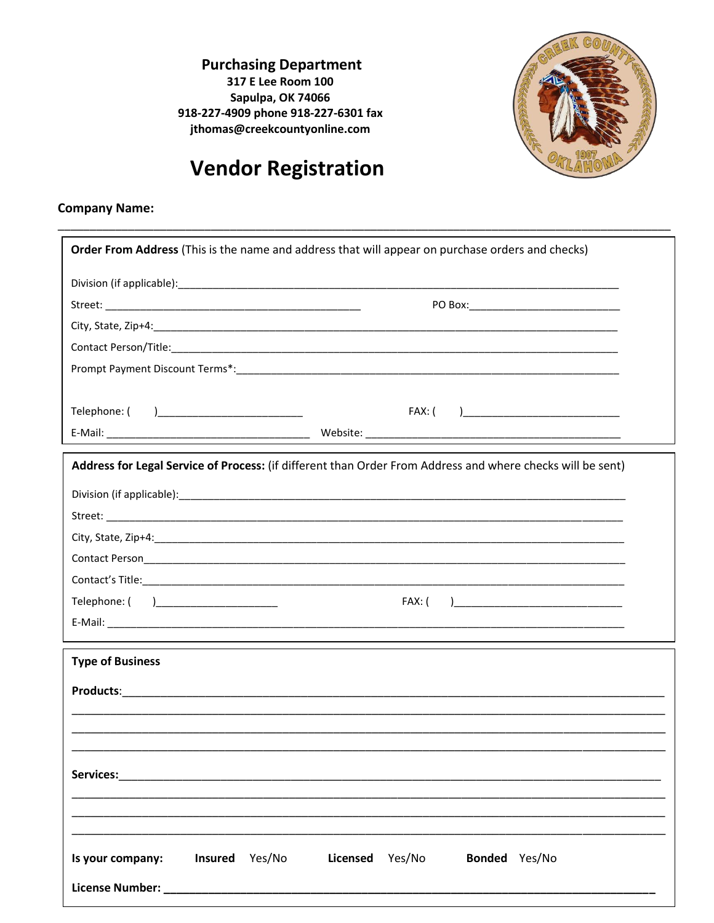**Purchasing Department** 317 E Lee Room 100 Sapulpa, OK 74066 918-227-4909 phone 918-227-6301 fax jthomas@creekcountyonline.com



## **Vendor Registration**

## **Company Name:**

| Order From Address (This is the name and address that will appear on purchase orders and checks)                                                                                                                               |                                                                                                            |  |  |  |
|--------------------------------------------------------------------------------------------------------------------------------------------------------------------------------------------------------------------------------|------------------------------------------------------------------------------------------------------------|--|--|--|
|                                                                                                                                                                                                                                |                                                                                                            |  |  |  |
|                                                                                                                                                                                                                                |                                                                                                            |  |  |  |
|                                                                                                                                                                                                                                |                                                                                                            |  |  |  |
|                                                                                                                                                                                                                                |                                                                                                            |  |  |  |
|                                                                                                                                                                                                                                |                                                                                                            |  |  |  |
|                                                                                                                                                                                                                                |                                                                                                            |  |  |  |
|                                                                                                                                                                                                                                | FAX: ( )_________________________________                                                                  |  |  |  |
|                                                                                                                                                                                                                                |                                                                                                            |  |  |  |
|                                                                                                                                                                                                                                | Address for Legal Service of Process: (if different than Order From Address and where checks will be sent) |  |  |  |
|                                                                                                                                                                                                                                |                                                                                                            |  |  |  |
|                                                                                                                                                                                                                                |                                                                                                            |  |  |  |
|                                                                                                                                                                                                                                |                                                                                                            |  |  |  |
|                                                                                                                                                                                                                                |                                                                                                            |  |  |  |
|                                                                                                                                                                                                                                |                                                                                                            |  |  |  |
|                                                                                                                                                                                                                                |                                                                                                            |  |  |  |
|                                                                                                                                                                                                                                |                                                                                                            |  |  |  |
|                                                                                                                                                                                                                                |                                                                                                            |  |  |  |
| <b>Type of Business</b>                                                                                                                                                                                                        |                                                                                                            |  |  |  |
|                                                                                                                                                                                                                                |                                                                                                            |  |  |  |
|                                                                                                                                                                                                                                |                                                                                                            |  |  |  |
|                                                                                                                                                                                                                                |                                                                                                            |  |  |  |
|                                                                                                                                                                                                                                |                                                                                                            |  |  |  |
| <b>Services:</b><br>the control of the control of the control of the control of the control of                                                                                                                                 |                                                                                                            |  |  |  |
|                                                                                                                                                                                                                                |                                                                                                            |  |  |  |
|                                                                                                                                                                                                                                |                                                                                                            |  |  |  |
| Insured Yes/No<br>Is your company:                                                                                                                                                                                             | Yes/No<br><b>Licensed</b><br>Bonded Yes/No                                                                 |  |  |  |
| License Number: National Accounts and Accounts and Accounts and Accounts and Accounts and Accounts and Accounts and Accounts and Accounts and Accounts and Accounts and Accounts and Accounts and Accounts and Accounts and Ac |                                                                                                            |  |  |  |